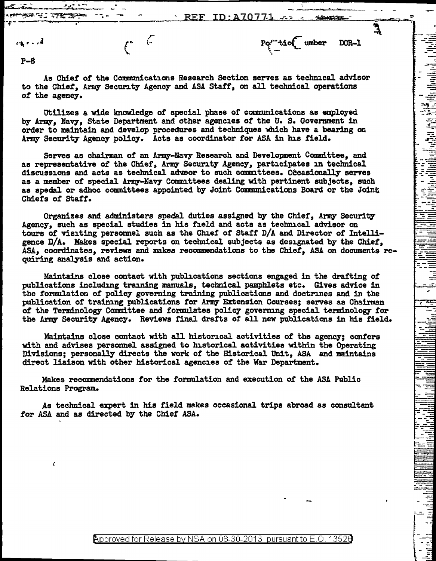REF ID:A70771

'\

*.=\_,* -~ --· . - -'~-=

*..11-...:* 

<u>- ج</u>

--r r-:.-·

 $t^* \rightarrow t^*$  DCR-1

 $\epsilon$ 

**PASA TULI** 

عملتها فليترز

P-8

As Chiet *ot* the Communications Research Section serves as technical advisor to the Chier, Army' Security Agency and ASA Staff, on all technical operations *ot* the agenc7.

Utilizes a wide knowledge of special phase or communications as employed by Army, Navy, State Department and other agencies *ot* the u. s. Government in order to maintain and develop procedures and techniques which have a bearing on Army Security Agency policy. Acts as coordinator for ASA in his field.

Serves as chairman of an Army-Navy Research and Development Committee, and as representative of the Chief, Army Security Agency, participates in technical discussions and acts as technical adveor to such committees. Occasionally serves as a member of special Army-Navy Committees dealing with pertinent subjects, such as spedal or adhoc committees appointed by Joint Communications Board or the Joint Chiefs of Stat!'.

Organizes and administers spedal duties assigned by the Chier, *A:rmy* Security Agency, such as special studies in his field and acts as technical advisor on tours of visiting personnel such as the Chief of Start D/A and Director *ot* Intelligence D/A. Makes special reports on technical subjects as designated by the Cbiet, ASA, coordinates, reviews and makes recommendations to the Chiet, ASA on documents requiring analysis and action.

Maintains close contact with publications sections engaged in the drafting *ot*  publications including training manuals, technical pamphlets etc. Gives advice in the formulation *of* policy governing training publications and doctrines and in the publication of training publications for Army Extension Courses; serves as Chairman *ot* the Terminology Committee and formulates policy governing special terminology tor the Array Security Agency. Reviews final draf'ts *ot* all new publications in his field.

Maintains close contact with all historical activities of the agency; confers with and advises personnel assigned to historical activities within the Operating Divisions; personally directs the work of' the Historical Unit, ASA and maintains direct liaison with other historical agencies of the War Department.

Makes recommendations for the formulation and execution of the ASA Public Relations Program.

As technical expert in his field makes occasional trips abroad as consultant tor ASA and as directed by the Chief ASA.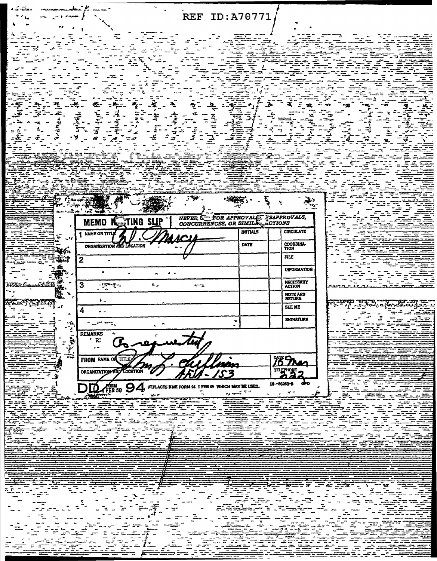